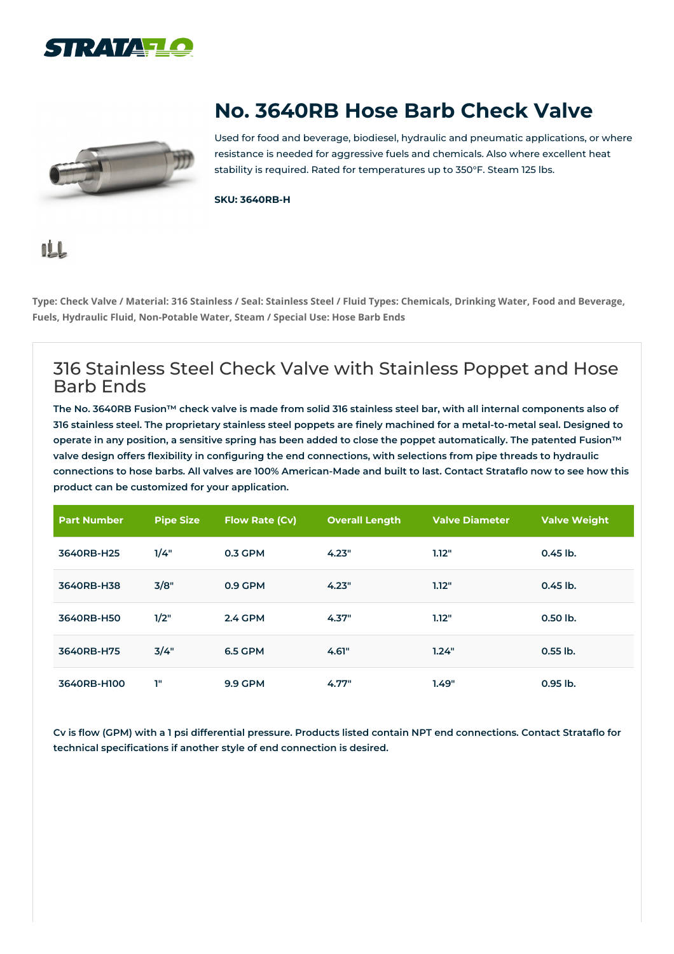



## **No. 3640RB Hose Barb Check Valve**

Used for food and beverage, biodiesel, hydraulic and pneumatic applications, or where resistance is needed for aggressive fuels and chemicals. Also where excellent heat stability is required. Rated for temperatures up to 350°F. Steam 125 lbs.

**SKU: 3640RB-H**

## **nLL**

Type: Check Valve / Material: 316 Stainless / Seal: Stainless Steel / Fluid Types: Chemicals, Drinking Water, Food and Beverage, **Fuels, Hydraulic Fluid, Non-Potable Water, Steam / Special Use: Hose Barb Ends**

## 316 Stainless Steel Check Valve with Stainless Poppet and Hose Barb Ends

The No. 3640RB Fusion™ check valve is made from solid 316 stainless steel bar, with all internal components also of 316 stainless steel. The proprietary stainless steel poppets are finely machined for a metal-to-metal seal. Designed to operate in any position, a sensitive spring has been added to close the poppet automatically. The patented Fusion™ valve design offers flexibility in configuring the end connections, with selections from pipe threads to hydraulic connections to hose barbs. All valves are 100% American-Made and built to last. Contact Strataflo now to see how this **product can be customized for your application.**

| <b>Part Number</b> | <b>Pipe Size</b> | <b>Flow Rate (Cv)</b> | <b>Overall Length</b> | <b>Valve Diameter</b> | <b>Valve Weight</b> |
|--------------------|------------------|-----------------------|-----------------------|-----------------------|---------------------|
| 3640RB-H25         | 1/4"             | 0.3 GPM               | 4.23"                 | 1.12"                 | $0.45$ lb.          |
| 3640RB-H38         | 3/8"             | 0.9 GPM               | 4.23"                 | 1.12"                 | $0.45$ lb.          |
| 3640RB-H50         | 1/2"             | <b>2.4 GPM</b>        | 4.37"                 | 1.12"                 | 0.50 lb.            |
| 3640RB-H75         | 3/4"             | <b>6.5 GPM</b>        | 4.61"                 | 1.24"                 | $0.55$ lb.          |
| 3640RB-H100        | ı"               | <b>9.9 GPM</b>        | 4.77"                 | 1.49"                 | $0.95$ lb.          |

Cv is flow (GPM) with a 1 psi differential pressure. Products listed contain NPT end connections. Contact Strataflo for **technical specifications if another style of end connection is desired.**